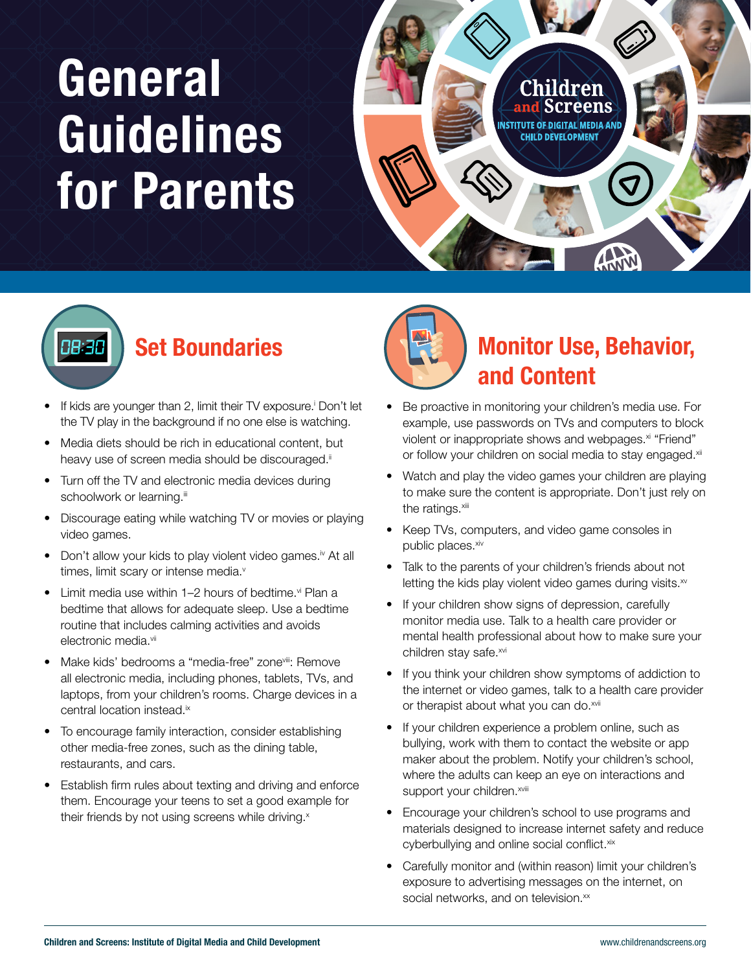## **General** Guidelines for Parents

Childrén USTITUTE OF DIGITAL MEDIA AN **CHILD DEVELOPMENT** 

# 08:30

#### Set Boundaries

- If kids are younger than 2, limit their TV exposure.<sup>†</sup> Don't let the TV play in the background if no one else is watching.
- Media diets should be rich in educational content, but heavy use of screen media should be discouraged.<sup>ii</sup>
- Turn off the TV and electronic media devices during schoolwork or learning.<sup>iii</sup>
- Discourage eating while watching TV or movies or playing video games.
- Don't allow your kids to play violent video games.<sup>iv</sup> At all times, limit scary or intense media.<sup>v</sup>
- Limit media use within  $1-2$  hours of bedtime. $\forall i$  Plan a bedtime that allows for adequate sleep. Use a bedtime routine that includes calming activities and avoids electronic media.<sup>vii</sup>
- Make kids' bedrooms a "media-free" zone<sup>viii</sup>: Remove all electronic media, including phones, tablets, TVs, and laptops, from your children's rooms. Charge devices in a central location instead.<sup>ix</sup>
- To encourage family interaction, consider establishing other media-free zones, such as the dining table, restaurants, and cars.
- Establish firm rules about texting and driving and enforce them. Encourage your teens to set a good example for their friends by not using screens while driving.<sup>x</sup>



### Monitor Use, Behavior, and Content

WWW

- Be proactive in monitoring your children's media use. For example, use passwords on TVs and computers to block violent or inappropriate shows and webpages.<sup>xi</sup> "Friend" or follow your children on social media to stay engaged.<sup>xii</sup>
- Watch and play the video games your children are playing to make sure the content is appropriate. Don't just rely on the ratings.<sup>xiii</sup>
- Keep TVs, computers, and video game consoles in public places.xiv
- Talk to the parents of your children's friends about not letting the kids play violent video games during visits. $x^{\nu}$
- If your children show signs of depression, carefully monitor media use. Talk to a health care provider or mental health professional about how to make sure your children stay safe.xvi
- If you think your children show symptoms of addiction to the internet or video games, talk to a health care provider or therapist about what you can do.<sup>xvii</sup>
- If your children experience a problem online, such as bullying, work with them to contact the website or app maker about the problem. Notify your children's school, where the adults can keep an eye on interactions and support your children. xviii
- Encourage your children's school to use programs and materials designed to increase internet safety and reduce cyberbullying and online social conflict.xix
- Carefully monitor and (within reason) limit your children's exposure to advertising messages on the internet, on social networks, and on television.<sup>xx</sup>